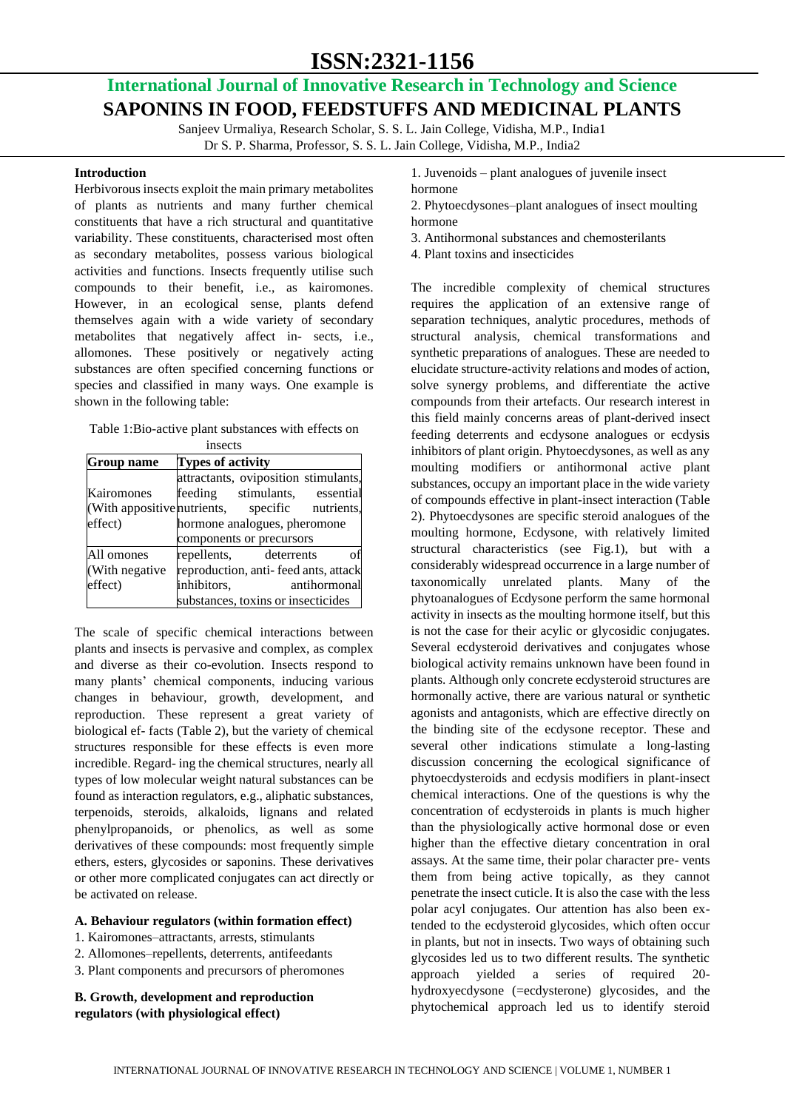# **ISSN:2321-1156**

## **International Journal of Innovative Research in Technology and Science SAPONINS IN FOOD, FEEDSTUFFS AND MEDICINAL PLANTS**

Sanjeev Urmaliya, Research Scholar, S. S. L. Jain College, Vidisha, M.P., India1 Dr S. P. Sharma, Professor, S. S. L. Jain College, Vidisha, M.P., India2

#### **Introduction**

Herbivorous insects exploit the main primary metabolites of plants as nutrients and many further chemical constituents that have a rich structural and quantitative variability. These constituents, characterised most often as secondary metabolites, possess various biological activities and functions. Insects frequently utilise such compounds to their benefit, i.e., as kairomones. However, in an ecological sense, plants defend themselves again with a wide variety of secondary metabolites that negatively affect in- sects, i.e., allomones. These positively or negatively acting substances are often specified concerning functions or species and classified in many ways. One example is shown in the following table:

Table 1:Bio-active plant substances with effects on

| insects                                 |                                                                                                                                                                                      |
|-----------------------------------------|--------------------------------------------------------------------------------------------------------------------------------------------------------------------------------------|
| <b>Group</b> name                       | <b>Types of activity</b>                                                                                                                                                             |
| Kairomones<br>effect)                   | attractants, oviposition stimulants,<br>feeding stimulants, essential<br>(With appositive nutrients, specific nutrients,<br>hormone analogues, pheromone<br>components or precursors |
| All omones<br>(With negative<br>effect) | repellents, deterrents<br>οf<br>reproduction, anti-feed ants, attack<br>inhibitors,<br>antihormonal<br>substances, toxins or insecticides                                            |

The scale of specific chemical interactions between plants and insects is pervasive and complex, as complex and diverse as their co-evolution. Insects respond to many plants' chemical components, inducing various changes in behaviour, growth, development, and reproduction. These represent a great variety of biological ef- facts (Table 2), but the variety of chemical structures responsible for these effects is even more incredible. Regard- ing the chemical structures, nearly all types of low molecular weight natural substances can be found as interaction regulators, e.g., aliphatic substances, terpenoids, steroids, alkaloids, lignans and related phenylpropanoids, or phenolics, as well as some derivatives of these compounds: most frequently simple ethers, esters, glycosides or saponins. These derivatives or other more complicated conjugates can act directly or be activated on release.

#### **A. Behaviour regulators (within formation effect)**

- 1. Kairomones–attractants, arrests, stimulants
- 2. Allomones–repellents, deterrents, antifeedants
- 3. Plant components and precursors of pheromones

**B. Growth, development and reproduction regulators (with physiological effect)**

1. Juvenoids – plant analogues of juvenile insect

#### hormone

- 2. Phytoecdysones–plant analogues of insect moulting hormone
- 3. Antihormonal substances and chemosterilants
- 4. Plant toxins and insecticides

The incredible complexity of chemical structures requires the application of an extensive range of separation techniques, analytic procedures, methods of structural analysis, chemical transformations and synthetic preparations of analogues. These are needed to elucidate structure-activity relations and modes of action, solve synergy problems, and differentiate the active compounds from their artefacts. Our research interest in this field mainly concerns areas of plant-derived insect feeding deterrents and ecdysone analogues or ecdysis inhibitors of plant origin. Phytoecdysones, as well as any moulting modifiers or antihormonal active plant substances, occupy an important place in the wide variety of compounds effective in plant-insect interaction (Table 2). Phytoecdysones are specific steroid analogues of the moulting hormone, Ecdysone, with relatively limited structural characteristics (see Fig.1), but with a considerably widespread occurrence in a large number of taxonomically unrelated plants. Many of the phytoanalogues of Ecdysone perform the same hormonal activity in insects as the moulting hormone itself, but this is not the case for their acylic or glycosidic conjugates. Several ecdysteroid derivatives and conjugates whose biological activity remains unknown have been found in plants. Although only concrete ecdysteroid structures are hormonally active, there are various natural or synthetic agonists and antagonists, which are effective directly on the binding site of the ecdysone receptor. These and several other indications stimulate a long-lasting discussion concerning the ecological significance of phytoecdysteroids and ecdysis modifiers in plant-insect chemical interactions. One of the questions is why the concentration of ecdysteroids in plants is much higher than the physiologically active hormonal dose or even higher than the effective dietary concentration in oral assays. At the same time, their polar character pre- vents them from being active topically, as they cannot penetrate the insect cuticle. It is also the case with the less polar acyl conjugates. Our attention has also been extended to the ecdysteroid glycosides, which often occur in plants, but not in insects. Two ways of obtaining such glycosides led us to two different results. The synthetic approach yielded a series of required 20 hydroxyecdysone (=ecdysterone) glycosides, and the phytochemical approach led us to identify steroid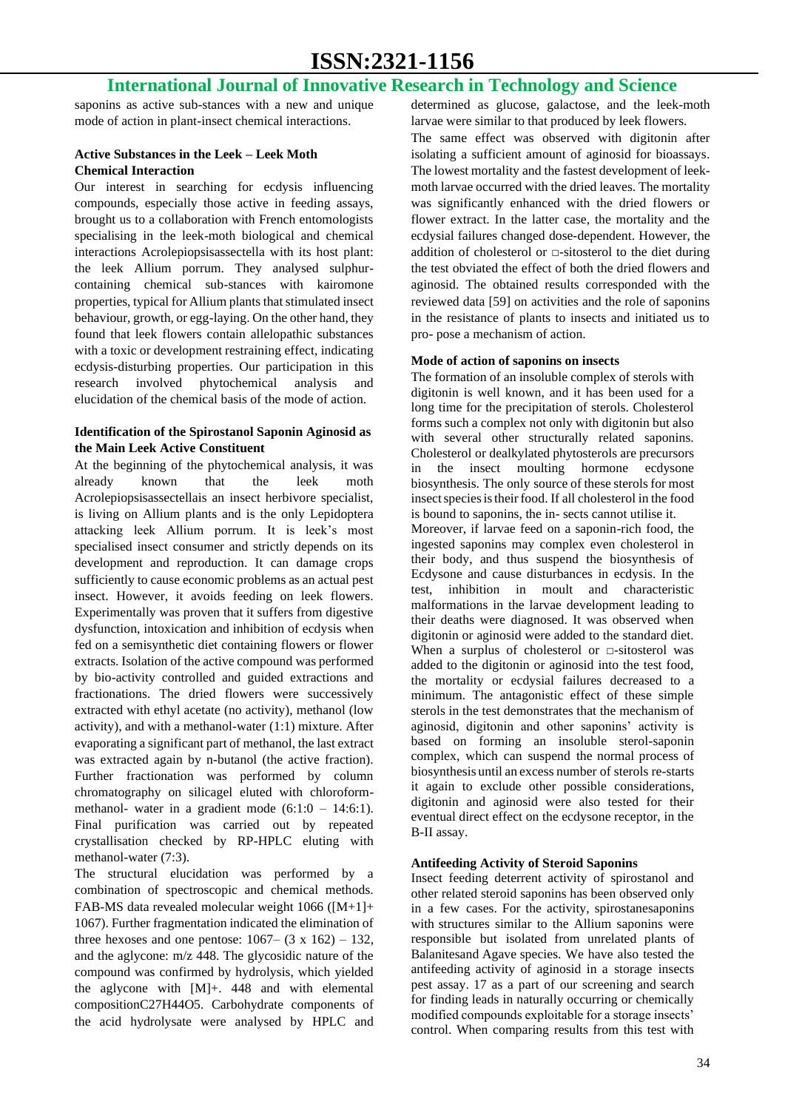### **International Journal of Innovative Research in Technology and Science**

saponins as active sub-stances with a new and unique mode of action in plant-insect chemical interactions.

#### **Active Substances in the Leek – Leek Moth Chemical Interaction**

Our interest in searching for ecdysis influencing compounds, especially those active in feeding assays, brought us to a collaboration with French entomologists specialising in the leek-moth biological and chemical interactions Acrolepiopsisassectella with its host plant: the leek Allium porrum. They analysed sulphurcontaining chemical sub-stances with kairomone properties, typical for Allium plants that stimulated insect behaviour, growth, or egg-laying. On the other hand, they found that leek flowers contain allelopathic substances with a toxic or development restraining effect, indicating ecdysis-disturbing properties. Our participation in this research involved phytochemical analysis and elucidation of the chemical basis of the mode of action.

#### **Identification of the Spirostanol Saponin Aginosid as the Main Leek Active Constituent**

At the beginning of the phytochemical analysis, it was already known that the leek moth Acrolepiopsisassectellais an insect herbivore specialist, is living on Allium plants and is the only Lepidoptera attacking leek Allium porrum. It is leek's most specialised insect consumer and strictly depends on its development and reproduction. It can damage crops sufficiently to cause economic problems as an actual pest insect. However, it avoids feeding on leek flowers. Experimentally was proven that it suffers from digestive dysfunction, intoxication and inhibition of ecdysis when fed on a semisynthetic diet containing flowers or flower extracts. Isolation of the active compound was performed by bio-activity controlled and guided extractions and fractionations. The dried flowers were successively extracted with ethyl acetate (no activity), methanol (low activity), and with a methanol-water (1:1) mixture. After evaporating a significant part of methanol, the last extract was extracted again by n-butanol (the active fraction). Further fractionation was performed by column chromatography on silicagel eluted with chloroformmethanol- water in a gradient mode  $(6:1:0 - 14:6:1)$ . Final purification was carried out by repeated crystallisation checked by RP-HPLC eluting with methanol-water (7:3).

The structural elucidation was performed by a combination of spectroscopic and chemical methods. FAB-MS data revealed molecular weight  $1066$  ([M+1]+ 1067). Further fragmentation indicated the elimination of three hexoses and one pentose:  $1067 - (3 \times 162) - 132$ , and the aglycone: m/z 448. The glycosidic nature of the compound was confirmed by hydrolysis, which yielded the aglycone with [M]+. 448 and with elemental compositionC27H44O5. Carbohydrate components of the acid hydrolysate were analysed by HPLC and determined as glucose, galactose, and the leek-moth larvae were similar to that produced by leek flowers. The same effect was observed with digitonin after isolating a sufficient amount of aginosid for bioassays. The lowest mortality and the fastest development of leekmoth larvae occurred with the dried leaves. The mortality was significantly enhanced with the dried flowers or flower extract. In the latter case, the mortality and the ecdysial failures changed dose-dependent. However, the addition of cholesterol or □-sitosterol to the diet during the test obviated the effect of both the dried flowers and aginosid. The obtained results corresponded with the reviewed data [59] on activities and the role of saponins in the resistance of plants to insects and initiated us to pro- pose a mechanism of action.

#### **Mode of action of saponins on insects**

The formation of an insoluble complex of sterols with digitonin is well known, and it has been used for a long time for the precipitation of sterols. Cholesterol forms such a complex not only with digitonin but also with several other structurally related saponins. Cholesterol or dealkylated phytosterols are precursors in the insect moulting hormone ecdysone biosynthesis. The only source of these sterols for most insect species is their food. If all cholesterol in the food is bound to saponins, the in- sects cannot utilise it. Moreover, if larvae feed on a saponin-rich food, the ingested saponins may complex even cholesterol in their body, and thus suspend the biosynthesis of Ecdysone and cause disturbances in ecdysis. In the test, inhibition in moult and characteristic malformations in the larvae development leading to their deaths were diagnosed. It was observed when digitonin or aginosid were added to the standard diet. When a surplus of cholesterol or □-sitosterol was added to the digitonin or aginosid into the test food, the mortality or ecdysial failures decreased to a minimum. The antagonistic effect of these simple

sterols in the test demonstrates that the mechanism of aginosid, digitonin and other saponins' activity is based on forming an insoluble sterol-saponin complex, which can suspend the normal process of biosynthesis until an excess number of sterols re-starts it again to exclude other possible considerations, digitonin and aginosid were also tested for their eventual direct effect on the ecdysone receptor, in the B-II assay.

#### **Antifeeding Activity of Steroid Saponins**

Insect feeding deterrent activity of spirostanol and other related steroid saponins has been observed only in a few cases. For the activity, spirostanesaponins with structures similar to the Allium saponins were responsible but isolated from unrelated plants of Balanitesand Agave species. We have also tested the antifeeding activity of aginosid in a storage insects pest assay. 17 as a part of our screening and search for finding leads in naturally occurring or chemically modified compounds exploitable for a storage insects' control. When comparing results from this test with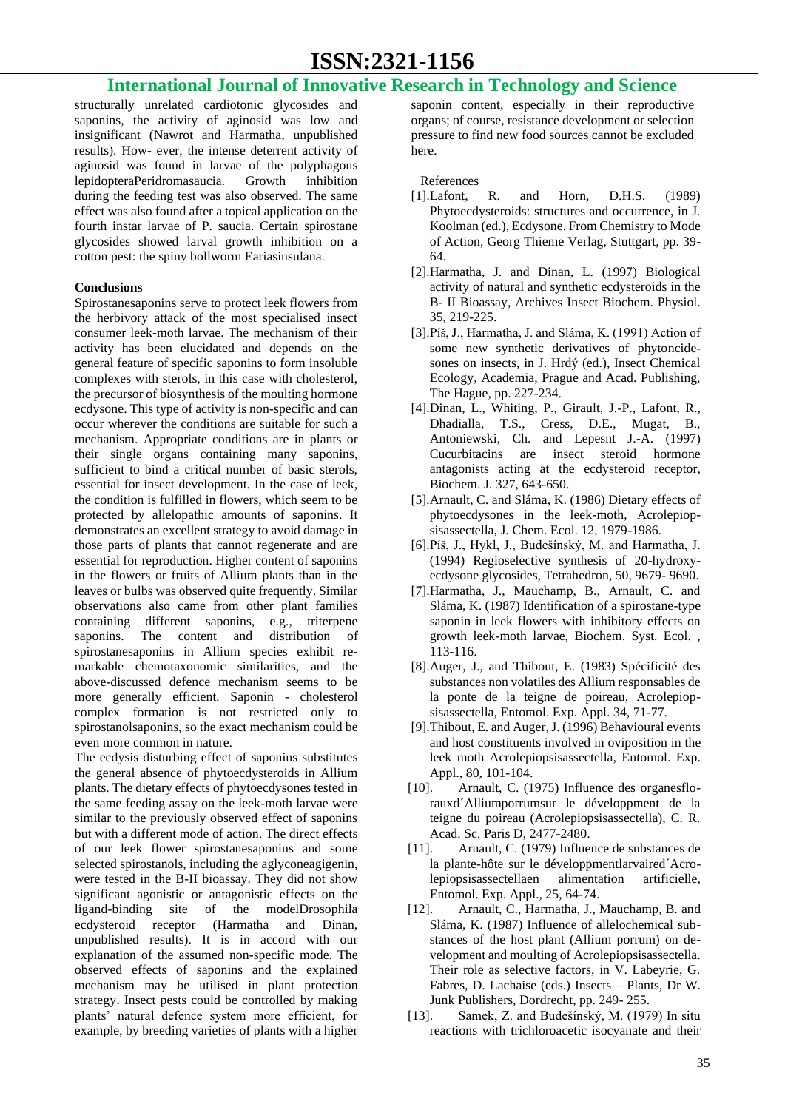### **International Journal of Innovative Research in Technology and Science**

structurally unrelated cardiotonic glycosides and saponins, the activity of aginosid was low and insignificant (Nawrot and Harmatha, unpublished results). How- ever, the intense deterrent activity of aginosid was found in larvae of the polyphagous lepidopteraPeridromasaucia. Growth inhibition during the feeding test was also observed. The same effect was also found after a topical application on the fourth instar larvae of P. saucia. Certain spirostane glycosides showed larval growth inhibition on a cotton pest: the spiny bollworm Eariasinsulana.

#### **Conclusions**

Spirostanesaponins serve to protect leek flowers from the herbivory attack of the most specialised insect consumer leek-moth larvae. The mechanism of their activity has been elucidated and depends on the general feature of specific saponins to form insoluble complexes with sterols, in this case with cholesterol, the precursor of biosynthesis of the moulting hormone ecdysone. This type of activity is non-specific and can occur wherever the conditions are suitable for such a mechanism. Appropriate conditions are in plants or their single organs containing many saponins, sufficient to bind a critical number of basic sterols, essential for insect development. In the case of leek, the condition is fulfilled in flowers, which seem to be protected by allelopathic amounts of saponins. It demonstrates an excellent strategy to avoid damage in those parts of plants that cannot regenerate and are essential for reproduction. Higher content of saponins in the flowers or fruits of Allium plants than in the leaves or bulbs was observed quite frequently. Similar observations also came from other plant families containing different saponins, e.g., triterpene saponins. The content and distribution of spirostanesaponins in Allium species exhibit remarkable chemotaxonomic similarities, and the above-discussed defence mechanism seems to be more generally efficient. Saponin - cholesterol complex formation is not restricted only to spirostanolsaponins, so the exact mechanism could be even more common in nature.

The ecdysis disturbing effect of saponins substitutes the general absence of phytoecdysteroids in Allium plants. The dietary effects of phytoecdysones tested in the same feeding assay on the leek-moth larvae were similar to the previously observed effect of saponins but with a different mode of action. The direct effects of our leek flower spirostanesaponins and some selected spirostanols, including the aglyconeagigenin, were tested in the B-II bioassay. They did not show significant agonistic or antagonistic effects on the ligand-binding site of the modelDrosophila ecdysteroid receptor (Harmatha and Dinan, unpublished results). It is in accord with our explanation of the assumed non-specific mode. The observed effects of saponins and the explained mechanism may be utilised in plant protection strategy. Insect pests could be controlled by making plants' natural defence system more efficient, for example, by breeding varieties of plants with a higher saponin content, especially in their reproductive organs; of course, resistance development or selection pressure to find new food sources cannot be excluded here.

#### References

- [1].Lafont, R. and Horn, D.H.S. (1989) Phytoecdysteroids: structures and occurrence, in J. Koolman (ed.), Ecdysone. From Chemistry to Mode of Action, Georg Thieme Verlag, Stuttgart, pp. 39- 64.
- [2].Harmatha, J. and Dinan, L. (1997) Biological activity of natural and synthetic ecdysteroids in the B- II Bioassay, Archives Insect Biochem. Physiol. 35, 219-225.
- [3].Píš, J., Harmatha, J. and Sláma, K. (1991) Action of some new synthetic derivatives of phytoncidesones on insects, in J. Hrdý (ed.), Insect Chemical Ecology, Academia, Prague and Acad. Publishing, The Hague, pp. 227-234.
- [4].Dinan, L., Whiting, P., Girault, J.-P., Lafont, R., Dhadialla, T.S., Cress, D.E., Mugat, B., Antoniewski, Ch. and Lepesnt J.-A. (1997) Cucurbitacins are insect steroid hormone antagonists acting at the ecdysteroid receptor, Biochem. J. 327, 643-650.
- [5].Arnault, C. and Sláma, K. (1986) Dietary effects of phytoecdysones in the leek-moth, Acrolepiopsisassectella, J. Chem. Ecol. 12, 1979-1986.
- [6].Píš, J., Hykl, J., Budešínský, M. and Harmatha, J. (1994) Regioselective synthesis of 20-hydroxyecdysone glycosides, Tetrahedron, 50, 9679- 9690.
- [7].Harmatha, J., Mauchamp, B., Arnault, C. and Sláma, K. (1987) Identification of a spirostane-type saponin in leek flowers with inhibitory effects on growth leek-moth larvae, Biochem. Syst. Ecol. , 113-116.
- [8].Auger, J., and Thibout, E. (1983) Spécificité des substances non volatiles des Allium responsables de la ponte de la teigne de poireau, Acrolepiopsisassectella, Entomol. Exp. Appl. 34, 71-77.
- [9].Thibout, E. and Auger, J. (1996) Behavioural events and host constituents involved in oviposition in the leek moth Acrolepiopsisassectella, Entomol. Exp. Appl., 80, 101-104.
- [10]. Arnault, C. (1975) Influence des organesflorauxd´Alliumporrumsur le développment de la teigne du poireau (Acrolepiopsisassectella), C. R. Acad. Sc. Paris D, 2477-2480.
- [11]. Arnault, C. (1979) Influence de substances de la plante-hôte sur le développmentlarvaired´Acrolepiopsisassectellaen alimentation artificielle, Entomol. Exp. Appl., 25, 64-74.
- [12]. Arnault, C., Harmatha, J., Mauchamp, B. and Sláma, K. (1987) Influence of allelochemical substances of the host plant (Allium porrum) on development and moulting of Acrolepiopsisassectella. Their role as selective factors, in V. Labeyrie, G. Fabres, D. Lachaise (eds.) Insects – Plants, Dr W. Junk Publishers, Dordrecht, pp. 249- 255.
- [13]. Samek, Z. and Budešínský, M. (1979) In situ reactions with trichloroacetic isocyanate and their